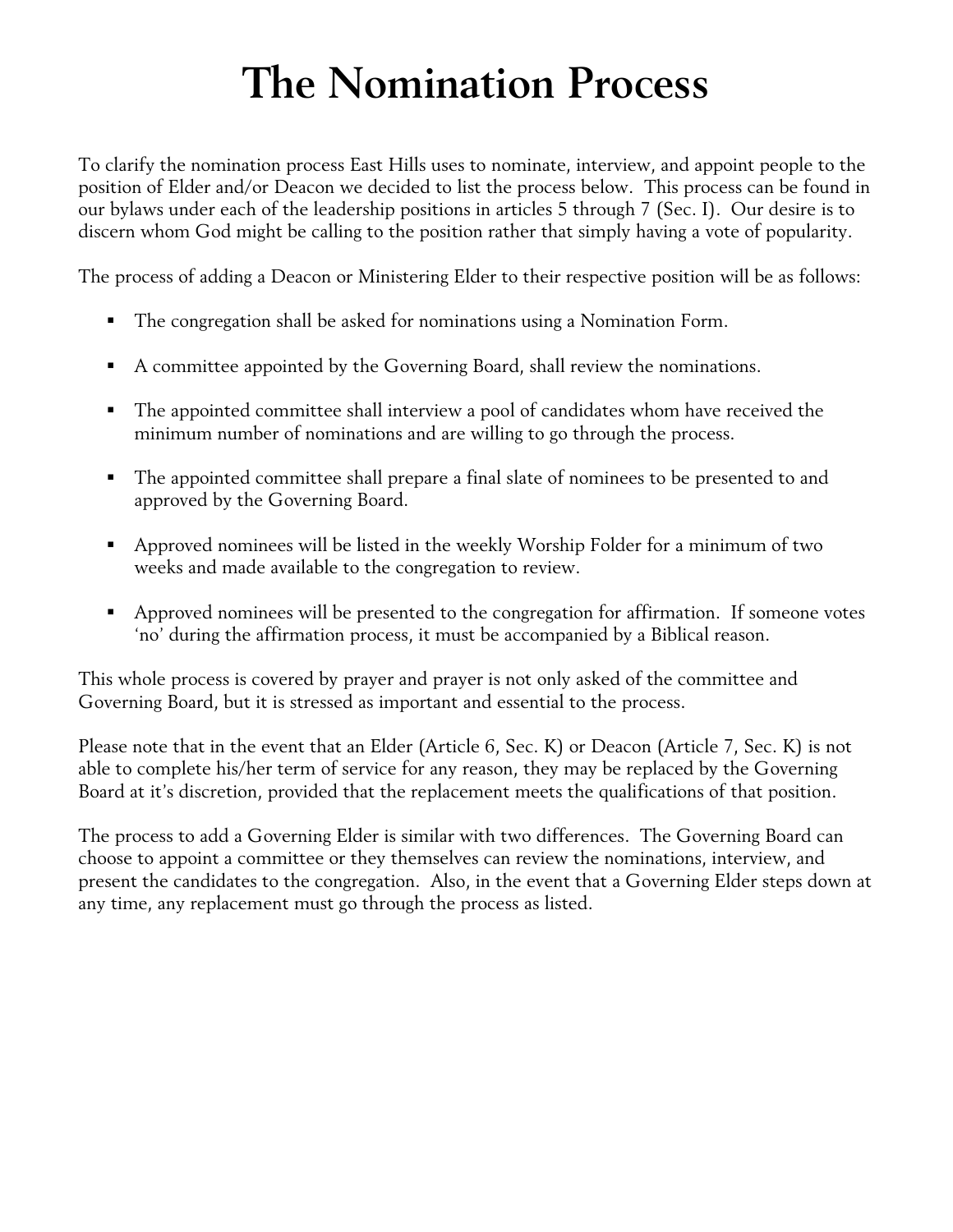# **The Nomination Process**

To clarify the nomination process East Hills uses to nominate, interview, and appoint people to the position of Elder and/or Deacon we decided to list the process below. This process can be found in our bylaws under each of the leadership positions in articles 5 through 7 (Sec. I). Our desire is to discern whom God might be calling to the position rather that simply having a vote of popularity.

The process of adding a Deacon or Ministering Elder to their respective position will be as follows:

- The congregation shall be asked for nominations using a Nomination Form.
- A committee appointed by the Governing Board, shall review the nominations.
- The appointed committee shall interview a pool of candidates whom have received the minimum number of nominations and are willing to go through the process.
- The appointed committee shall prepare a final slate of nominees to be presented to and approved by the Governing Board.
- Approved nominees will be listed in the weekly Worship Folder for a minimum of two weeks and made available to the congregation to review.
- Approved nominees will be presented to the congregation for affirmation. If someone votes 'no' during the affirmation process, it must be accompanied by a Biblical reason.

This whole process is covered by prayer and prayer is not only asked of the committee and Governing Board, but it is stressed as important and essential to the process.

Please note that in the event that an Elder (Article 6, Sec. K) or Deacon (Article 7, Sec. K) is not able to complete his/her term of service for any reason, they may be replaced by the Governing Board at it's discretion, provided that the replacement meets the qualifications of that position.

The process to add a Governing Elder is similar with two differences. The Governing Board can choose to appoint a committee or they themselves can review the nominations, interview, and present the candidates to the congregation. Also, in the event that a Governing Elder steps down at any time, any replacement must go through the process as listed.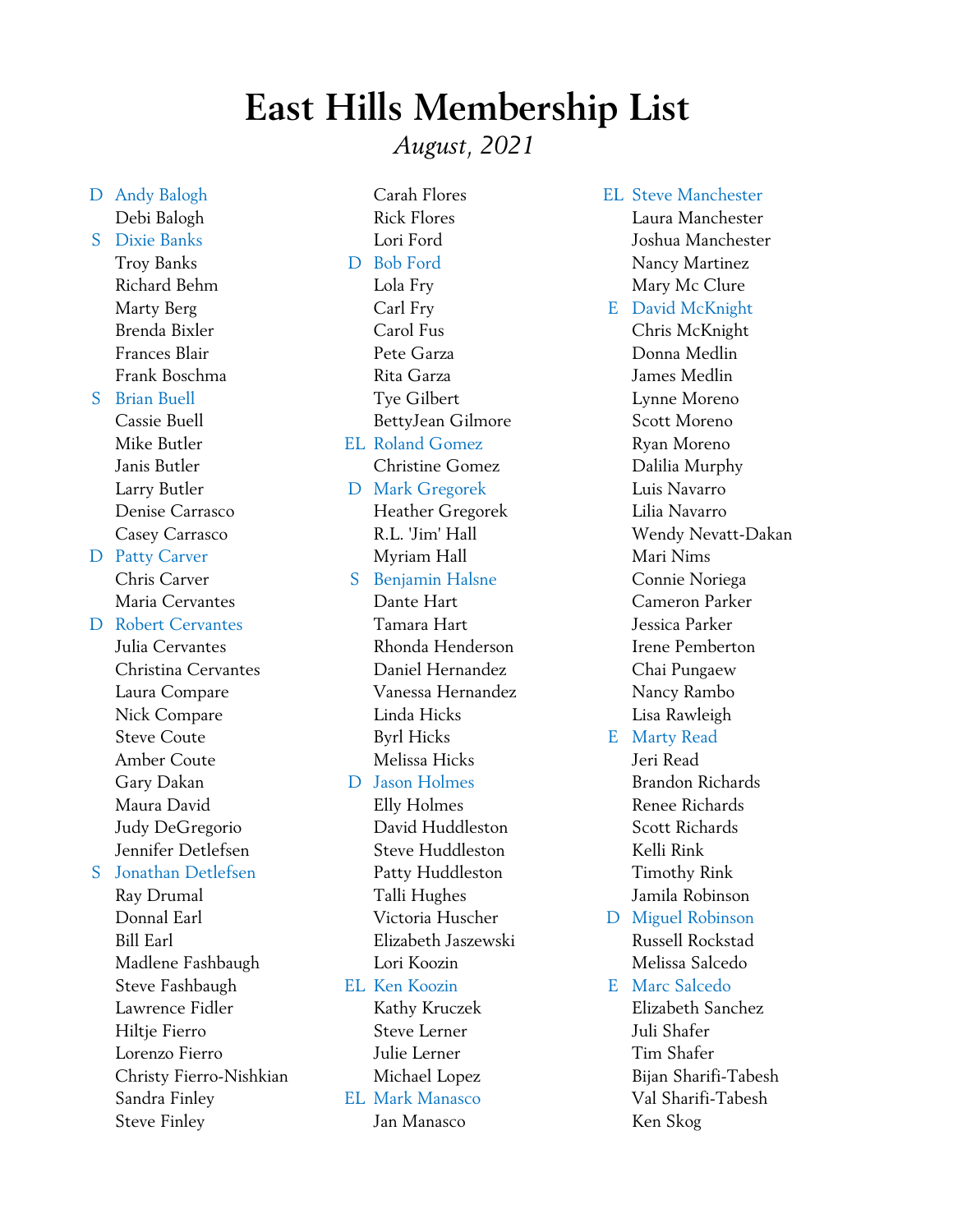## **East Hills Membership List**

## *August, 2021*

D Andy Balogh Carah Flores EL Steve Manchester

Debi Balogh Rick Flores Laura Manchester S Dixie Banks Lori Ford Joshua Manchester Troy Banks **D** Bob Ford **Nancy Martinez** Richard Behm Lola Fry Mary Mc Clure Marty Berg **Carl Fry Carl Fry E** David McKnight Brenda Bixler Carol Fus Carol Fusch Chris McKnight Frances Blair Pete Garza Donna Medlin Frank Boschma Rita Garza James Medlin S Brian Buell Tye Gilbert Lynne Moreno Cassie Buell BettyJean Gilmore Scott Moreno Mike Butler **EL Roland Gomez** Ryan Moreno Janis Butler Christine Gomez Dalilia Murphy Larry Butler D Mark Gregorek Luis Navarro Denise Carrasco Heather Gregorek Lilia Navarro Casey Carrasco R.L. 'Jim' Hall Wendy Nevatt-Dakan D Patty Carver Myriam Hall Myriam Hall Mari Nims Chris Carver S Benjamin Halsne Connie Noriega Maria Cervantes Dante Hart Cameron Parker D Robert Cervantes Tamara Hart Jessica Parker Julia Cervantes Rhonda Henderson Irene Pemberton Christina Cervantes Daniel Hernandez Chai Pungaew Laura Compare Vanessa Hernandez Nancy Rambo Nick Compare Linda Hicks Lisa Rawleigh Steve Coute **Byrl Hicks** E Marty Read Amber Coute Melissa Hicks Jeri Read Gary Dakan **D** Jason Holmes Brandon Richards Maura David **Elly Holmes** Elly Holmes Renee Richards Judy DeGregorio David Huddleston Scott Richards Jennifer Detlefsen Steve Huddleston Kelli Rink S Jonathan Detlefsen Patty Huddleston Timothy Rink Ray Drumal Talli Hughes Jamila Robinson Donnal Earl Victoria Huscher D Miguel Robinson Bill Earl Elizabeth Jaszewski Russell Rockstad Madlene Fashbaugh Lori Koozin Melissa Salcedo Steve Fashbaugh EL Ken Koozin El Marc Salcedo Lawrence Fidler Kathy Kruczek Elizabeth Sanchez Hiltje Fierro Steve Lerner Juli Shafer Lorenzo Fierro **Iulie Lerner** Tim Shafer Christy Fierro-Nishkian Michael Lopez Bijan Sharifi-Tabesh

Steve Finley **Steve Finley** Jan Manasco Ken Skog

- 
- 
- 
- Sandra Finley EL Mark Manasco Val Sharifi-Tabesh